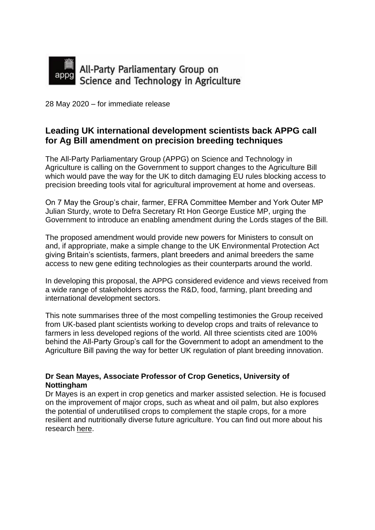

28 May 2020 – for immediate release

# **Leading UK international development scientists back APPG call for Ag Bill amendment on precision breeding techniques**

The All-Party Parliamentary Group (APPG) on Science and Technology in Agriculture is calling on the Government to support changes to the Agriculture Bill which would pave the way for the UK to ditch damaging EU rules blocking access to precision breeding tools vital for agricultural improvement at home and overseas.

On 7 May the Group's chair, farmer, EFRA Committee Member and York Outer MP Julian Sturdy, wrote to Defra Secretary Rt Hon George Eustice MP, urging the Government to introduce an enabling amendment during the Lords stages of the Bill.

The proposed amendment would provide new powers for Ministers to consult on and, if appropriate, make a simple change to the UK Environmental Protection Act giving Britain's scientists, farmers, plant breeders and animal breeders the same access to new gene editing technologies as their counterparts around the world.

In developing this proposal, the APPG considered evidence and views received from a wide range of stakeholders across the R&D, food, farming, plant breeding and international development sectors.

This note summarises three of the most compelling testimonies the Group received from UK-based plant scientists working to develop crops and traits of relevance to farmers in less developed regions of the world. All three scientists cited are 100% behind the All-Party Group's call for the Government to adopt an amendment to the Agriculture Bill paving the way for better UK regulation of plant breeding innovation.

## **Dr Sean Mayes, Associate Professor of Crop Genetics, University of Nottingham**

Dr Mayes is an expert in crop genetics and marker assisted selection. He is focused on the improvement of major crops, such as wheat and oil palm, but also explores the potential of underutilised crops to complement the staple crops, for a more resilient and nutritionally diverse future agriculture. You can find out more about his research [here.](https://eur01.safelinks.protection.outlook.com/?url=http%3A%2F%2Fwww.nottingham.ac.uk%2Fbiosciences%2Fpeople%2Fsean.mayes&data=01%7C01%7Csteve.mcgrath%40rothamsted.ac.uk%7Ce16c2523a5d349c03b5908d802dfa57a%7Cb688362589414342b0e37b8cc8392f64%7C1&sdata=ncNXbcLKOsEzIItoBM92OjqtF%2FcckNOMQiFqcRhY9Cc%3D&reserved=0)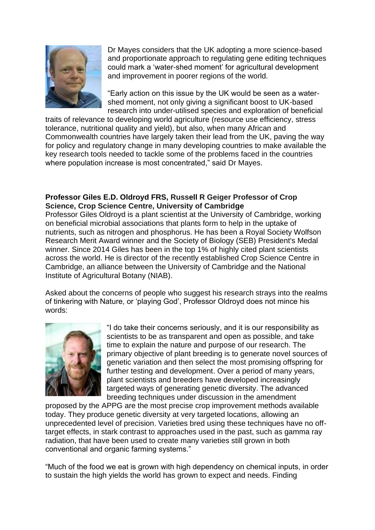

Dr Mayes considers that the UK adopting a more science-based and proportionate approach to regulating gene editing techniques could mark a 'water-shed moment' for agricultural development and improvement in poorer regions of the world.

"Early action on this issue by the UK would be seen as a watershed moment, not only giving a significant boost to UK-based research into under-utilised species and exploration of beneficial

traits of relevance to developing world agriculture (resource use efficiency, stress tolerance, nutritional quality and yield), but also, when many African and Commonwealth countries have largely taken their lead from the UK, paving the way for policy and regulatory change in many developing countries to make available the key research tools needed to tackle some of the problems faced in the countries where population increase is most concentrated," said Dr Mayes.

### **Professor Giles E.D. Oldroyd FRS, Russell R Geiger Professor of Crop Science, Crop Science Centre, University of Cambridge**

Professor Giles Oldroyd is a plant scientist at the University of Cambridge, working on beneficial microbial associations that plants form to help in the uptake of nutrients, such as nitrogen and phosphorus. He has been a Royal Society Wolfson Research Merit Award winner and the Society of Biology (SEB) President's Medal winner. Since 2014 Giles has been in the top 1% of highly cited plant scientists across the world. He is director of the recently established Crop Science Centre in Cambridge, an alliance between the University of Cambridge and the National Institute of Agricultural Botany (NIAB).

Asked about the concerns of people who suggest his research strays into the realms of tinkering with Nature, or 'playing God', Professor Oldroyd does not mince his words:



"I do take their concerns seriously, and it is our responsibility as scientists to be as transparent and open as possible, and take time to explain the nature and purpose of our research. The primary objective of plant breeding is to generate novel sources of genetic variation and then select the most promising offspring for further testing and development. Over a period of many years, plant scientists and breeders have developed increasingly targeted ways of generating genetic diversity. The advanced breeding techniques under discussion in the amendment

proposed by the APPG are the most precise crop improvement methods available today. They produce genetic diversity at very targeted locations, allowing an unprecedented level of precision. Varieties bred using these techniques have no offtarget effects, in stark contrast to approaches used in the past, such as gamma ray radiation, that have been used to create many varieties still grown in both conventional and organic farming systems."

"Much of the food we eat is grown with high dependency on chemical inputs, in order to sustain the high yields the world has grown to expect and needs. Finding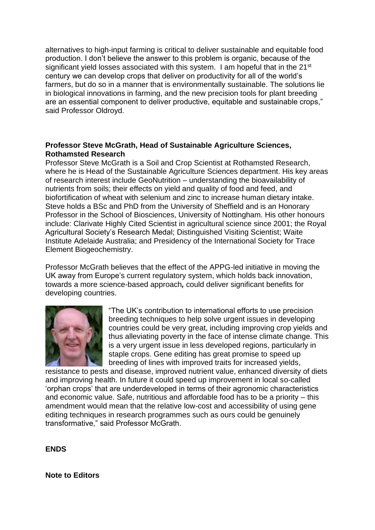alternatives to high-input farming is critical to deliver sustainable and equitable food production. I don't believe the answer to this problem is organic, because of the significant yield losses associated with this system. I am hopeful that in the 21<sup>st</sup> century we can develop crops that deliver on productivity for all of the world's farmers, but do so in a manner that is environmentally sustainable. The solutions lie in biological innovations in farming, and the new precision tools for plant breeding are an essential component to deliver productive, equitable and sustainable crops," said Professor Oldroyd.

### **Professor Steve McGrath, Head of Sustainable Agriculture Sciences, Rothamsted Research**

Professor Steve McGrath is a Soil and Crop Scientist at Rothamsted Research, where he is Head of the Sustainable Agriculture Sciences department. His key areas of research interest include GeoNutrition – understanding the bioavailability of nutrients from soils; their effects on yield and quality of food and feed, and biofortification of wheat with selenium and zinc to increase human dietary intake. Steve holds a BSc and PhD from the University of Sheffield and is an Honorary Professor in the School of Biosciences, University of Nottingham. His other honours include: Clarivate Highly Cited Scientist in agricultural science since 2001; the Royal Agricultural Society's Research Medal; Distinguished Visiting Scientist; Waite Institute Adelaide Australia; and Presidency of the International Society for Trace Element Biogeochemistry.

Professor McGrath believes that the effect of the APPG-led initiative in moving the UK away from Europe's current regulatory system, which holds back innovation, towards a more science-based approach*,* could deliver significant benefits for developing countries.



"The UK's contribution to international efforts to use precision breeding techniques to help solve urgent issues in developing countries could be very great, including improving crop yields and thus alleviating poverty in the face of intense climate change. This is a very urgent issue in less developed regions, particularly in staple crops. Gene editing has great promise to speed up breeding of lines with improved traits for increased yields,

resistance to pests and disease, improved nutrient value, enhanced diversity of diets and improving health. In future it could speed up improvement in local so-called 'orphan crops' that are underdeveloped in terms of their agronomic characteristics and economic value. Safe, nutritious and affordable food has to be a priority – this amendment would mean that the relative low-cost and accessibility of using gene editing techniques in research programmes such as ours could be genuinely transformative," said Professor McGrath.

#### **ENDS**

#### **Note to Editors**